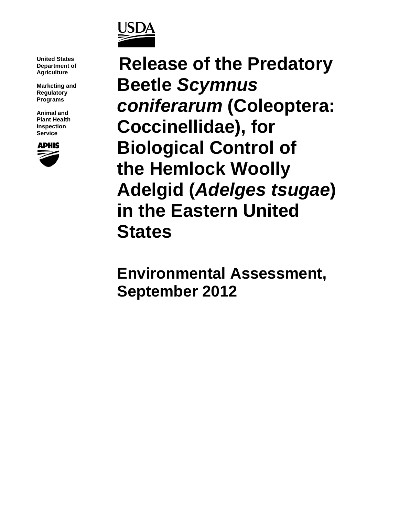

**United States Department of Agriculture**

**Marketing and Regulatory Programs**

**Animal and Plant Health Inspection Service**



**Release of the Predatory Beetle** *Scymnus coniferarum* **(Coleoptera: Coccinellidae), for Biological Control of the Hemlock Woolly Adelgid (***Adelges tsugae***) in the Eastern United States**

**Environmental Assessment, September 2012**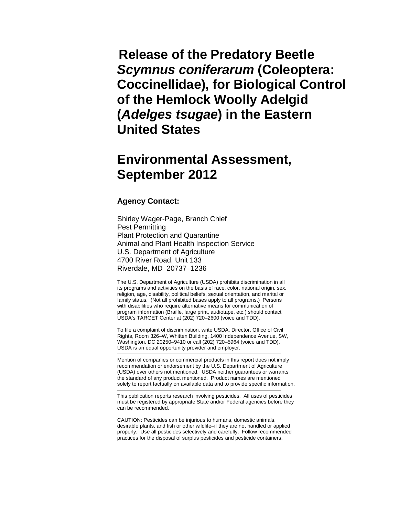**Release of the Predatory Beetle**  *Scymnus coniferarum* **(Coleoptera: Coccinellidae), for Biological Control of the Hemlock Woolly Adelgid (***Adelges tsugae***) in the Eastern United States**

# **Environmental Assessment, September 2012**

#### **Agency Contact:**

Shirley Wager-Page, Branch Chief Pest Permitting Plant Protection and Quarantine Animal and Plant Health Inspection Service U.S. Department of Agriculture 4700 River Road, Unit 133 Riverdale, MD 20737–1236

The U.S. Department of Agriculture (USDA) prohibits discrimination in all its programs and activities on the basis of race, color, national origin, sex, religion, age, disability, political beliefs, sexual orientation, and marital or family status. (Not all prohibited bases apply to all programs.) Persons with disabilities who require alternative means for communication of program information (Braille, large print, audiotape, etc.) should contact USDA's TARGET Center at (202) 720–2600 (voice and TDD).

To file a complaint of discrimination, write USDA, Director, Office of Civil Rights, Room 326–W, Whitten Building, 1400 Independence Avenue, SW, Washington, DC 20250–9410 or call (202) 720–5964 (voice and TDD). USDA is an equal opportunity provider and employer.

Mention of companies or commercial products in this report does not imply recommendation or endorsement by the U.S. Department of Agriculture (USDA) over others not mentioned. USDA neither guarantees or warrants the standard of any product mentioned. Product names are mentioned solely to report factually on available data and to provide specific information.

This publication reports research involving pesticides. All uses of pesticides must be registered by appropriate State and/or Federal agencies before they can be recommended.

CAUTION: Pesticides can be injurious to humans, domestic animals, desirable plants, and fish or other wildlife–if they are not handled or applied properly. Use all pesticides selectively and carefully. Follow recommended practices for the disposal of surplus pesticides and pesticide containers.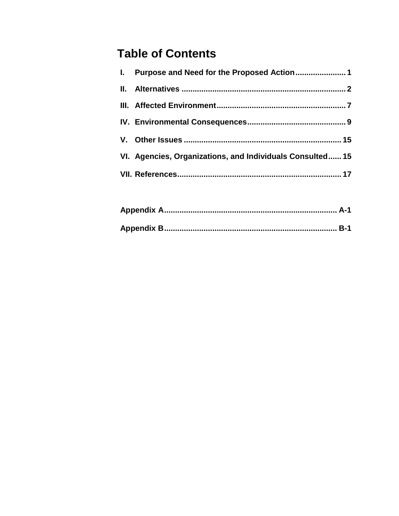# **Table of Contents**

| VI. Agencies, Organizations, and Individuals Consulted 15 |
|-----------------------------------------------------------|
|                                                           |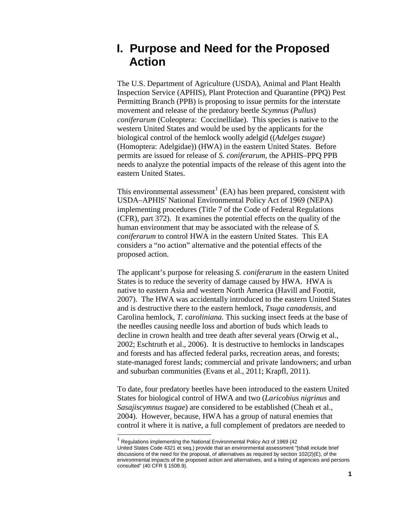## **I. Purpose and Need for the Proposed Action**

The U.S. Department of Agriculture (USDA), Animal and Plant Health Inspection Service (APHIS), Plant Protection and Quarantine (PPQ) Pest Permitting Branch (PPB) is proposing to issue permits for the interstate movement and release of the predatory beetle *Scymnus* (*Pullus*) *coniferarum* (Coleoptera: Coccinellidae). This species is native to the western United States and would be used by the applicants for the biological control of the hemlock woolly adelgid ((*Adelges tsugae*) (Homoptera: Adelgidae)) (HWA) in the eastern United States. Before permits are issued for release of *S. coniferarum*, the APHIS–PPQ PPB needs to analyze the potential impacts of the release of this agent into the eastern United States.

This environmental assessment<sup>[1](#page-3-0)</sup> (EA) has been prepared, consistent with USDA–APHIS' National Environmental Policy Act of 1969 (NEPA) implementing procedures (Title 7 of the Code of Federal Regulations (CFR), part 372). It examines the potential effects on the quality of the human environment that may be associated with the release of *S. coniferarum* to control HWA in the eastern United States. This EA considers a "no action" alternative and the potential effects of the proposed action.

The applicant's purpose for releasing *S. coniferarum* in the eastern United States is to reduce the severity of damage caused by HWA. HWA is native to eastern Asia and western North America (Havill and Foottit, 2007). The HWA was accidentally introduced to the eastern United States and is destructive there to the eastern hemlock, *Tsuga canadensis,* and Carolina hemlock*, T. caroliniana.* This sucking insect feeds at the base of the needles causing needle loss and abortion of buds which leads to decline in crown health and tree death after several years (Orwig et al., 2002; Eschtruth et al., 2006). It is destructive to hemlocks in landscapes and forests and has affected federal parks, recreation areas, and forests; state-managed forest lands; commercial and private landowners; and urban and suburban communities (Evans et al., 2011; Krapfl, 2011).

To date, four predatory beetles have been introduced to the eastern United States for biological control of HWA and two (*Laricobius nigrinus* and *Sasajiscymnus tsugae*) are considered to be established (Cheah et al., 2004). However, because, HWA has a group of natural enemies that control it where it is native, a full complement of predators are needed to

<span id="page-3-0"></span> $1$  Regulations implementing the National Environmental Policy Act of 1969 (42 United States Code 4321 et seq.) provide that an environmental assessment "[shall include brief discussions of the need for the proposal, of alternatives as required by section  $102(2)(E)$ , of the environmental impacts of the proposed action and alternatives, and a listing of agencies and persons consulted" (40 CFR § 1508.9).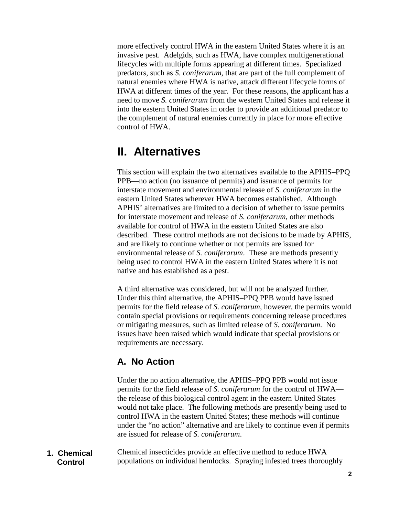more effectively control HWA in the eastern United States where it is an invasive pest. Adelgids, such as HWA, have complex multigenerational lifecycles with multiple forms appearing at different times. Specialized predators, such as *S. coniferarum,* that are part of the full complement of natural enemies where HWA is native, attack different lifecycle forms of HWA at different times of the year. For these reasons, the applicant has a need to move *S. coniferarum* from the western United States and release it into the eastern United States in order to provide an additional predator to the complement of natural enemies currently in place for more effective control of HWA.

## **II. Alternatives**

This section will explain the two alternatives available to the APHIS–PPQ PPB—no action (no issuance of permits) and issuance of permits for interstate movement and environmental release of *S. coniferarum* in the eastern United States wherever HWA becomes established*.* Although APHIS' alternatives are limited to a decision of whether to issue permits for interstate movement and release of *S. coniferarum*, other methods available for control of HWA in the eastern United States are also described. These control methods are not decisions to be made by APHIS, and are likely to continue whether or not permits are issued for environmental release of *S. coniferarum*. These are methods presently being used to control HWA in the eastern United States where it is not native and has established as a pest.

A third alternative was considered, but will not be analyzed further. Under this third alternative, the APHIS–PPQ PPB would have issued permits for the field release of *S. coniferarum*, however, the permits would contain special provisions or requirements concerning release procedures or mitigating measures, such as limited release of *S. coniferarum*. No issues have been raised which would indicate that special provisions or requirements are necessary.

## **A. No Action**

Under the no action alternative, the APHIS–PPQ PPB would not issue permits for the field release of *S. coniferarum* for the control of HWA the release of this biological control agent in the eastern United States would not take place. The following methods are presently being used to control HWA in the eastern United States; these methods will continue under the "no action" alternative and are likely to continue even if permits are issued for release of *S. coniferarum*.

Chemical insecticides provide an effective method to reduce HWA populations on individual hemlocks. Spraying infested trees thoroughly **1. Chemical Control**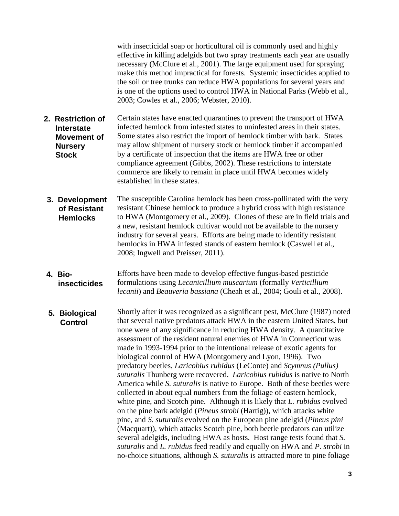with insecticidal soap or horticultural oil is commonly used and highly effective in killing adelgids but two spray treatments each year are usually necessary (McClure et al., 2001). The large equipment used for spraying make this method impractical for forests. Systemic insecticides applied to the soil or tree trunks can reduce HWA populations for several years and is one of the options used to control HWA in National Parks (Webb et al., 2003; Cowles et al., 2006; Webster, 2010).

- Certain states have enacted quarantines to prevent the transport of HWA infected hemlock from infested states to uninfested areas in their states. Some states also restrict the import of hemlock timber with bark. States may allow shipment of nursery stock or hemlock timber if accompanied by a certificate of inspection that the items are HWA free or other compliance agreement (Gibbs, 2002). These restrictions to interstate commerce are likely to remain in place until HWA becomes widely established in these states. **2. Restriction of Interstate Movement of Nursery Stock**
- The susceptible Carolina hemlock has been cross-pollinated with the very resistant Chinese hemlock to produce a hybrid cross with high resistance to HWA (Montgomery et al., 2009). Clones of these are in field trials and a new, resistant hemlock cultivar would not be available to the nursery industry for several years. Efforts are being made to identify resistant hemlocks in HWA infested stands of eastern hemlock (Caswell et al., 2008; Ingwell and Preisser, 2011). **3. Development of Resistant Hemlocks**
- Efforts have been made to develop effective fungus-based pesticide formulations using *Lecanicillium muscarium* (formally *Verticillium lecanii*) and *Beauveria bassiana* (Cheah et al., 2004; Gouli et al., 2008). **4. Bioinsecticides**
- Shortly after it was recognized as a significant pest, McClure (1987) noted that several native predators attack HWA in the eastern United States, but none were of any significance in reducing HWA density. A quantitative assessment of the resident natural enemies of HWA in Connecticut was made in 1993-1994 prior to the intentional release of exotic agents for biological control of HWA (Montgomery and Lyon, 1996). Two predatory beetles, *Laricobius rubidus* (LeConte) and *Scymnus (Pullus) suturalis* Thunberg were recovered. *Laricobius rubidus* is native to North America while *S. suturalis* is native to Europe. Both of these beetles were collected in about equal numbers from the foliage of eastern hemlock, white pine, and Scotch pine. Although it is likely that *L. rubidus* evolved on the pine bark adelgid (*Pineus strobi* (Hartig)), which attacks white pine, and *S. suturalis* evolved on the European pine adelgid (*Pineus pini* (Macquart)), which attacks Scotch pine, both beetle predators can utilize several adelgids, including HWA as hosts. Host range tests found that *S. suturalis* and *L. rubidus* feed readily and equally on HWA and *P. strobi* in no-choice situations, although *S. suturalis* is attracted more to pine foliage **5. Biological Control**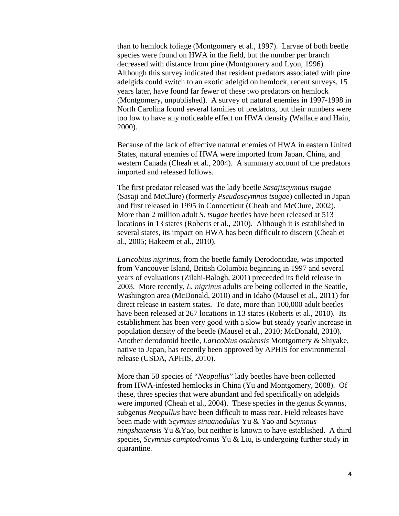than to hemlock foliage (Montgomery et al., 1997). Larvae of both beetle species were found on HWA in the field, but the number per branch decreased with distance from pine (Montgomery and Lyon, 1996). Although this survey indicated that resident predators associated with pine adelgids could switch to an exotic adelgid on hemlock, recent surveys, 15 years later, have found far fewer of these two predators on hemlock (Montgomery, unpublished). A survey of natural enemies in 1997-1998 in North Carolina found several families of predators, but their numbers were too low to have any noticeable effect on HWA density (Wallace and Hain, 2000).

Because of the lack of effective natural enemies of HWA in eastern United States, natural enemies of HWA were imported from Japan, China, and western Canada (Cheah et al., 2004). A summary account of the predators imported and released follows.

The first predator released was the lady beetle *Sasajiscymnus tsugae*  (Sasaji and McClure) (formerly *Pseudoscymnus tsugae*) collected in Japan and first released in 1995 in Connecticut (Cheah and McClure, 2002). More than 2 million adult *S. tsugae* beetles have been released at 513 locations in 13 states (Roberts et al., 2010). Although it is established in several states, its impact on HWA has been difficult to discern (Cheah et al., 2005; Hakeem et al., 2010).

*Laricobius nigrinus*, from the beetle family Derodontidae, was imported from Vancouver Island, British Columbia beginning in 1997 and several years of evaluations (Zilahi-Balogh, 2001) preceeded its field release in 2003. More recently, *L. nigrinus* adults are being collected in the Seattle, Washington area (McDonald, 2010) and in Idaho (Mausel et al., 2011) for direct release in eastern states. To date, more than 100,000 adult beetles have been released at 267 locations in 13 states (Roberts et al., 2010). Its establishment has been very good with a slow but steady yearly increase in population density of the beetle (Mausel et al., 2010; McDonald, 2010). Another derodontid beetle, *Laricobius osakensis* Montgomery & Shiyake, native to Japan, has recently been approved by APHIS for environmental release (USDA, APHIS, 2010).

More than 50 species of "*Neopullus*" lady beetles have been collected from HWA-infested hemlocks in China (Yu and Montgomery, 2008). Of these, three species that were abundant and fed specifically on adelgids were imported (Cheah et al., 2004). These species in the genus *Scymnus*, subgenus *Neopullus* have been difficult to mass rear. Field releases have been made with *Scymnus sinuanodulus* Yu & Yao and *Scymnus ningshanensis* Yu &Yao, but neither is known to have established. A third species, *Scymnus camptodromus* Yu & Liu, is undergoing further study in quarantine.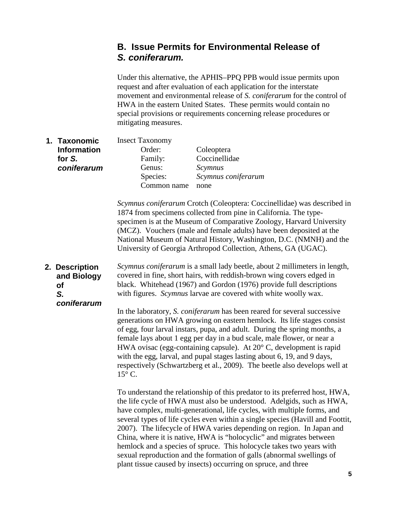### **B. Issue Permits for Environmental Release of**  *S. coniferarum.*

Under this alternative, the APHIS–PPQ PPB would issue permits upon request and after evaluation of each application for the interstate movement and environmental release of *S. coniferarum* for the control of HWA in the eastern United States. These permits would contain no special provisions or requirements concerning release procedures or mitigating measures.

Insect Taxonomy Order: Coleoptera Family: Coccinellidae Genus: *Scymnus* Species: *Scymnus coniferarum* Common name none **1. Taxonomic Information for** *S. coniferarum*

> *Scymnus coniferarum* Crotch (Coleoptera: Coccinellidae) was described in 1874 from specimens collected from pine in California. The typespecimen is at the Museum of Comparative Zoology, Harvard University (MCZ). Vouchers (male and female adults) have been deposited at the National Museum of Natural History, Washington, D.C. (NMNH) and the University of Georgia Arthropod Collection, Athens, GA (UGAC).

*Scymnus coniferarum* is a small lady beetle, about 2 millimeters in length, covered in fine, short hairs, with reddish-brown wing covers edged in black. Whitehead (1967) and Gordon (1976) provide full descriptions with figures. *Scymnus* larvae are covered with white woolly wax. **2. Description and Biology of** *S. coniferarum*

In the laboratory, *S. coniferarum* has been reared for several successive generations on HWA growing on eastern hemlock. Its life stages consist of egg, four larval instars, pupa, and adult. During the spring months, a female lays about 1 egg per day in a bud scale, male flower, or near a HWA ovisac (egg-containing capsule). At 20° C, development is rapid with the egg, larval, and pupal stages lasting about 6, 19, and 9 days, respectively (Schwartzberg et al., 2009). The beetle also develops well at  $15^{\circ}$  C.

To understand the relationship of this predator to its preferred host, HWA, the life cycle of HWA must also be understood. Adelgids, such as HWA, have complex, multi-generational, life cycles, with multiple forms, and several types of life cycles even within a single species (Havill and Foottit, 2007). The lifecycle of HWA varies depending on region. In Japan and China, where it is native, HWA is "holocyclic" and migrates between hemlock and a species of spruce. This holocycle takes two years with sexual reproduction and the formation of galls (abnormal swellings of plant tissue caused by insects) occurring on spruce, and three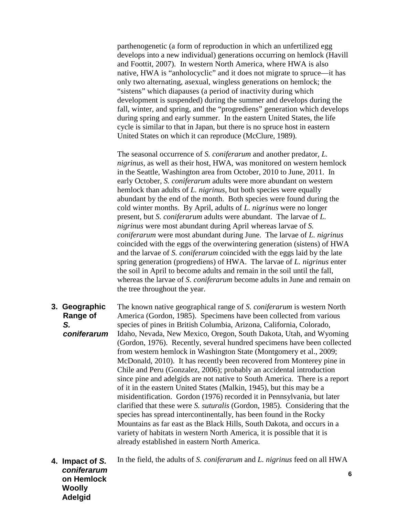parthenogenetic (a form of reproduction in which an unfertilized egg develops into a new individual) generations occurring on hemlock (Havill and Foottit, 2007). In western North America, where HWA is also native, HWA is "anholocyclic" and it does not migrate to spruce—it has only two alternating, asexual, wingless generations on hemlock; the "sistens" which diapauses (a period of inactivity during which development is suspended) during the summer and develops during the fall, winter, and spring, and the "progrediens" generation which develops during spring and early summer. In the eastern United States, the life cycle is similar to that in Japan, but there is no spruce host in eastern United States on which it can reproduce (McClure, 1989).

The seasonal occurrence of *S. coniferarum* and another predator, *L. nigrinus,* as well as their host, HWA, was monitored on western hemlock in the Seattle, Washington area from October, 2010 to June, 2011. In early October, *S. coniferarum* adults were more abundant on western hemlock than adults of *L. nigrinus*, but both species were equally abundant by the end of the month. Both species were found during the cold winter months. By April, adults of *L. nigrinus* were no longer present, but *S. coniferarum* adults were abundant. The larvae of *L. nigrinus* were most abundant during April whereas larvae of *S. coniferarum* were most abundant during June. The larvae of *L. nigrinus* coincided with the eggs of the overwintering generation (sistens) of HWA and the larvae of *S. coniferarum* coincided with the eggs laid by the late spring generation (progrediens) of HWA. The larvae of *L. nigrinus* enter the soil in April to become adults and remain in the soil until the fall, whereas the larvae of *S*. *coniferarum* become adults in June and remain on the tree throughout the year.

The known native geographical range of *S. coniferarum* is western North America (Gordon, 1985). Specimens have been collected from various species of pines in British Columbia, Arizona, California, Colorado, Idaho, Nevada, New Mexico, Oregon, South Dakota, Utah, and Wyoming (Gordon, 1976). Recently, several hundred specimens have been collected from western hemlock in Washington State (Montgomery et al., 2009; McDonald, 2010). It has recently been recovered from Monterey pine in Chile and Peru (Gonzalez, 2006); probably an accidental introduction since pine and adelgids are not native to South America. There is a report of it in the eastern United States (Malkin, 1945), but this may be a misidentification. Gordon (1976) recorded it in Pennsylvania, but later clarified that these were *S. suturalis* (Gordon, 1985). Considering that the species has spread intercontinentally, has been found in the Rocky Mountains as far east as the Black Hills, South Dakota, and occurs in a variety of habitats in western North America, it is possible that it is already established in eastern North America. **3. Geographic Range of** *S. coniferarum*

**6** In the field, the adults of *S. coniferarum* and *L. nigrinus* feed on all HWA **4. Impact of** *S. coniferarum* **on Hemlock Woolly Adelgid**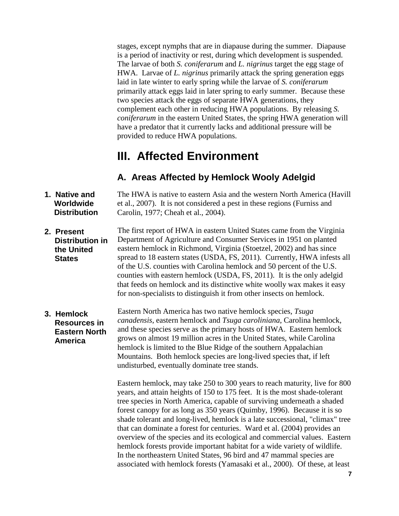stages, except nymphs that are in diapause during the summer. Diapause is a period of inactivity or rest, during which development is suspended. The larvae of both *S. coniferarum* and *L. nigrinus* target the egg stage of HWA. Larvae of *L. nigrinus* primarily attack the spring generation eggs laid in late winter to early spring while the larvae of *S. coniferarum* primarily attack eggs laid in later spring to early summer. Because these two species attack the eggs of separate HWA generations, they complement each other in reducing HWA populations. By releasing *S. coniferarum* in the eastern United States, the spring HWA generation will have a predator that it currently lacks and additional pressure will be provided to reduce HWA populations.

## **III. Affected Environment**

### **A. Areas Affected by Hemlock Wooly Adelgid**

- The HWA is native to eastern Asia and the western North America (Havill et al., 2007). It is not considered a pest in these regions (Furniss and Carolin, 1977; Cheah et al., 2004). **1. Native and Worldwide Distribution**
- The first report of HWA in eastern United States came from the Virginia Department of Agriculture and Consumer Services in 1951 on planted eastern hemlock in Richmond, Virginia (Stoetzel, 2002) and has since spread to 18 eastern states (USDA, FS, 2011). Currently, HWA infests all of the U.S. counties with Carolina hemlock and 50 percent of the U.S. counties with eastern hemlock (USDA, FS, 2011). It is the only adelgid that feeds on hemlock and its distinctive white woolly wax makes it easy for non-specialists to distinguish it from other insects on hemlock. **2. Present Distribution in the United States**
- Eastern North America has two native hemlock species, *Tsuga canadensis*, eastern hemlock and *Tsuga caroliniana*, Carolina hemlock, and these species serve as the primary hosts of HWA. Eastern hemlock grows on almost 19 million acres in the United States, while Carolina hemlock is limited to the Blue Ridge of the southern Appalachian Mountains. Both hemlock species are long-lived species that, if left undisturbed, eventually dominate tree stands. **3. Hemlock Resources in Eastern North America**

Eastern hemlock, may take 250 to 300 years to reach maturity, live for 800 years, and attain heights of 150 to 175 feet. It is the most shade-tolerant tree species in North America, capable of surviving underneath a shaded forest canopy for as long as 350 years (Quimby, 1996). Because it is so shade tolerant and long-lived, hemlock is a late successional, "climax" tree that can dominate a forest for centuries. Ward et al. (2004) provides an overview of the species and its ecological and commercial values. Eastern hemlock forests provide important habitat for a wide variety of wildlife. In the northeastern United States, 96 bird and 47 mammal species are associated with hemlock forests (Yamasaki et al., 2000). Of these, at least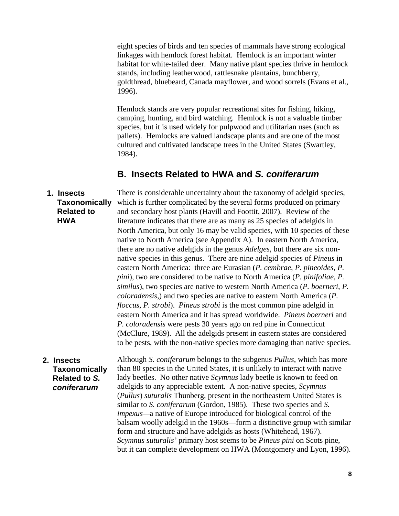eight species of birds and ten species of mammals have strong ecological linkages with hemlock forest habitat. Hemlock is an important winter habitat for white-tailed deer. Many native plant species thrive in hemlock stands, including leatherwood, rattlesnake plantains, bunchberry, goldthread, bluebeard, Canada mayflower, and wood sorrels (Evans et al., 1996).

Hemlock stands are very popular recreational sites for fishing, hiking, camping, hunting, and bird watching. Hemlock is not a valuable timber species, but it is used widely for pulpwood and utilitarian uses (such as pallets). Hemlocks are valued landscape plants and are one of the most cultured and cultivated landscape trees in the United States (Swartley, 1984).

### **B. Insects Related to HWA and** *S. coniferarum*

There is considerable uncertainty about the taxonomy of adelgid species, which is further complicated by the several forms produced on primary and secondary host plants (Havill and Foottit, 2007). Review of the literature indicates that there are as many as 25 species of adelgids in North America, but only 16 may be valid species, with 10 species of these native to North America (see Appendix A). In eastern North America, there are no native adelgids in the genus *Adelges*, but there are six nonnative species in this genus. There are nine adelgid species of *Pineus* in eastern North America: three are Eurasian (*P. cembrae*, *P. pineoides*, *P. pini*), two are considered to be native to North America (*P. pinifoliae, P. similus*), two species are native to western North America (*P. boerneri*, *P. coloradensis*,) and two species are native to eastern North America (*P. floccus*, *P. strobi*). *Pineus strobi* is the most common pine adelgid in eastern North America and it has spread worldwide. *Pineus boerneri* and *P. coloradensis* were pests 30 years ago on red pine in Connecticut (McClure, 1989). All the adelgids present in eastern states are considered to be pests, with the non-native species more damaging than native species. **1. Insects Taxonomically Related to HWA**

## **2. Insects Taxonomically Related to** *S. coniferarum*

Although *S. coniferarum* belongs to the subgenus *Pullus*, which has more than 80 species in the United States, it is unlikely to interact with native lady beetles. No other native *Scymnus* lady beetle is known to feed on adelgids to any appreciable extent. A non-native species, *Scymnus* (*Pullus*) *suturalis* Thunberg, present in the northeastern United States is similar to *S. coniferarum* (Gordon, 1985). These two species and *S. impexus—*a native of Europe introduced for biological control of the balsam woolly adelgid in the 1960s—form a distinctive group with similar form and structure and have adelgids as hosts (Whitehead, 1967). *Scymnus suturalis'* primary host seems to be *Pineus pini* on Scots pine, but it can complete development on HWA (Montgomery and Lyon, 1996).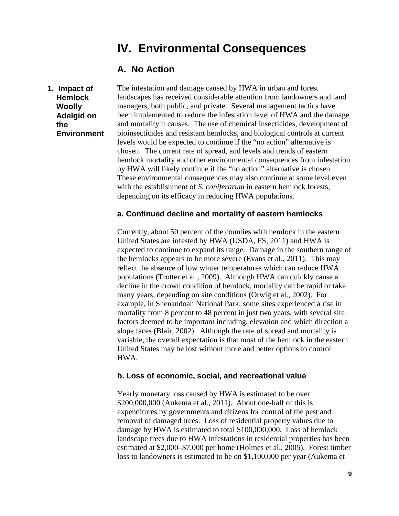## **IV. Environmental Consequences**

### **A. No Action**

**1. Impact of Hemlock Woolly Adelgid on the Environment** The infestation and damage caused by HWA in urban and forest landscapes has received considerable attention from landowners and land managers, both public, and private. Several management tactics have been implemented to reduce the infestation level of HWA and the damage and mortality it causes. The use of chemical insecticides, development of bioinsecticides and resistant hemlocks, and biological controls at current levels would be expected to continue if the "no action" alternative is chosen. The current rate of spread, and levels and trends of eastern hemlock mortality and other environmental consequences from infestation by HWA will likely continue if the "no action" alternative is chosen. These environmental consequences may also continue at some level even with the establishment of *S. coniferarum* in eastern hemlock forests, depending on its efficacy in reducing HWA populations.

#### **a. Continued decline and mortality of eastern hemlocks**

Currently, about 50 percent of the counties with hemlock in the eastern United States are infested by HWA (USDA, FS, 2011) and HWA is expected to continue to expand its range. Damage in the southern range of the hemlocks appears to be more severe (Evans et al., 2011). This may reflect the absence of low winter temperatures which can reduce HWA populations (Trotter et al., 2009). Although HWA can quickly cause a decline in the crown condition of hemlock, mortality can be rapid or take many years, depending on site conditions (Orwig et al., 2002). For example, in Shenandoah National Park, some sites experienced a rise in mortality from 8 percent to 48 percent in just two years, with several site factors deemed to be important including, elevation and which direction a slope faces (Blair, 2002). Although the rate of spread and mortality is variable, the overall expectation is that most of the hemlock in the eastern United States may be lost without more and better options to control HWA.

#### **b. Loss of economic, social, and recreational value**

Yearly monetary loss caused by HWA is estimated to be over \$200,000,000 (Aukema et al., 2011). About one-half of this is expenditures by governments and citizens for control of the pest and removal of damaged trees. Loss of residential property values due to damage by HWA is estimated to total \$100,000,000. Loss of hemlock landscape trees due to HWA infestations in residential properties has been estimated at \$2,000–\$7,000 per home (Holmes et al., 2005). Forest timber loss to landowners is estimated to be on \$1,100,000 per year (Aukema et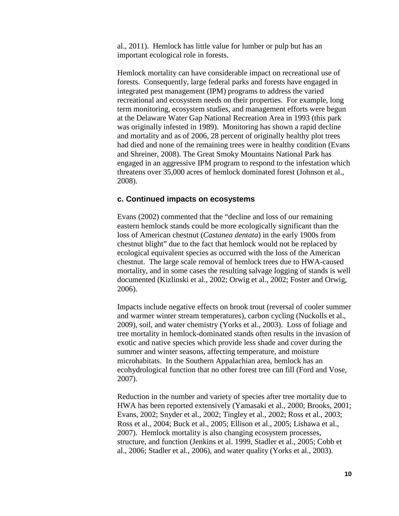al., 2011). Hemlock has little value for lumber or pulp but has an important ecological role in forests.

Hemlock mortality can have considerable impact on recreational use of forests. Consequently, large federal parks and forests have engaged in integrated pest management (IPM) programs to address the varied recreational and ecosystem needs on their properties. For example, long term monitoring, ecosystem studies, and management efforts were begun at the Delaware Water Gap National Recreation Area in 1993 (this park was originally infested in 1989). Monitoring has shown a rapid decline and mortality and as of 2006, 28 percent of originally healthy plot trees had died and none of the remaining trees were in healthy condition (Evans and Shreiner, 2008). The Great Smoky Mountains National Park has engaged in an aggressive IPM program to respond to the infestation which threatens over 35,000 acres of hemlock dominated forest (Johnson et al., 2008).

#### **c. Continued impacts on ecosystems**

Evans (2002) commented that the "decline and loss of our remaining eastern hemlock stands could be more ecologically significant than the loss of American chestnut (*Castanea dentata*) in the early 1900s from chestnut blight" due to the fact that hemlock would not be replaced by ecological equivalent species as occurred with the loss of the American chestnut. The large scale removal of hemlock trees due to HWA-caused mortality, and in some cases the resulting salvage logging of stands is well documented (Kizlinski et al., 2002; Orwig et al., 2002; Foster and Orwig, 2006).

Impacts include negative effects on brook trout (reversal of cooler summer and warmer winter stream temperatures), carbon cycling (Nuckolls et al., 2009), soil, and water chemistry (Yorks et al., 2003). Loss of foliage and tree mortality in hemlock-dominated stands often results in the invasion of exotic and native species which provide less shade and cover during the summer and winter seasons, affecting temperature, and moisture microhabitats. In the Southern Appalachian area, hemlock has an ecohydrological function that no other forest tree can fill (Ford and Vose, 2007).

Reduction in the number and variety of species after tree mortality due to HWA has been reported extensively (Yamasaki et al., 2000; Brooks, 2001; Evans, 2002; Snyder et al., 2002; Tingley et al., 2002; Ross et al., 2003; Ross et al., 2004; Buck et al., 2005; Ellison et al., 2005; Lishawa et al., 2007). Hemlock mortality is also changing ecosystem processes, structure, and function (Jenkins et al. 1999, Stadler et al., 2005; Cobb et al., 2006; Stadler et al., 2006), and water quality (Yorks et al., 2003).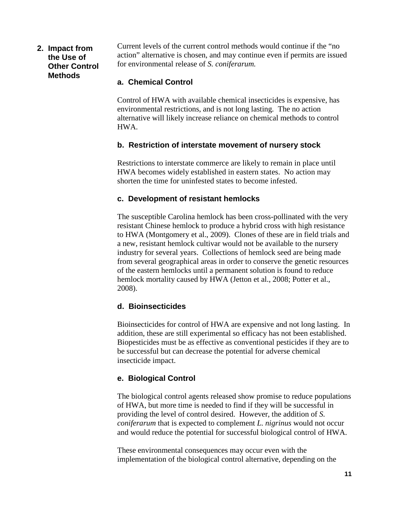### **2. Impact from the Use of Other Control Methods**

Current levels of the current control methods would continue if the "no action" alternative is chosen, and may continue even if permits are issued for environmental release of *S. coniferarum.*

### **a. Chemical Control**

Control of HWA with available chemical insecticides is expensive, has environmental restrictions, and is not long lasting. The no action alternative will likely increase reliance on chemical methods to control HWA.

### **b. Restriction of interstate movement of nursery stock**

Restrictions to interstate commerce are likely to remain in place until HWA becomes widely established in eastern states. No action may shorten the time for uninfested states to become infested.

### **c. Development of resistant hemlocks**

The susceptible Carolina hemlock has been cross-pollinated with the very resistant Chinese hemlock to produce a hybrid cross with high resistance to HWA (Montgomery et al., 2009). Clones of these are in field trials and a new, resistant hemlock cultivar would not be available to the nursery industry for several years. Collections of hemlock seed are being made from several geographical areas in order to conserve the genetic resources of the eastern hemlocks until a permanent solution is found to reduce hemlock mortality caused by HWA (Jetton et al., 2008; Potter et al., 2008).

### **d. Bioinsecticides**

Bioinsecticides for control of HWA are expensive and not long lasting. In addition, these are still experimental so efficacy has not been established. Biopesticides must be as effective as conventional pesticides if they are to be successful but can decrease the potential for adverse chemical insecticide impact.

### **e. Biological Control**

The biological control agents released show promise to reduce populations of HWA, but more time is needed to find if they will be successful in providing the level of control desired. However, the addition of *S. coniferarum* that is expected to complement *L. nigrinus* would not occur and would reduce the potential for successful biological control of HWA.

These environmental consequences may occur even with the implementation of the biological control alternative, depending on the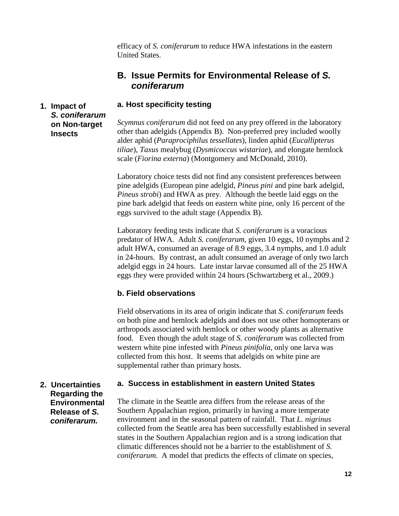efficacy of *S. coniferarum* to reduce HWA infestations in the eastern United States.

### **B. Issue Permits for Environmental Release of** *S. coniferarum*

### **a. Host specificity testing**

### **1. Impact of**  *S. coniferarum*  **on Non-target Insects**

*Scymnus coniferarum* did not feed on any prey offered in the laboratory other than adelgids (Appendix B). Non-preferred prey included woolly alder aphid (*Paraprociphilus tessellates*), linden aphid (*Eucallipterus tiliae*), *Taxus* mealybug (*Dysmicoccus wistariae*), and elongate hemlock scale (*Fiorina externa*) (Montgomery and McDonald, 2010).

Laboratory choice tests did not find any consistent preferences between pine adelgids (European pine adelgid, *Pineus pini* and pine bark adelgid, *Pineus strobi*) and HWA as prey. Although the beetle laid eggs on the pine bark adelgid that feeds on eastern white pine, only 16 percent of the eggs survived to the adult stage (Appendix B).

Laboratory feeding tests indicate that *S. coniferarum* is a voracious predator of HWA. Adult *S. coniferarum*, given 10 eggs, 10 nymphs and 2 adult HWA, consumed an average of 8.9 eggs, 3.4 nymphs, and 1.0 adult in 24-hours. By contrast, an adult consumed an average of only two larch adelgid eggs in 24 hours. Late instar larvae consumed all of the 25 HWA eggs they were provided within 24 hours (Schwartzberg et al., 2009.)

### **b. Field observations**

Field observations in its area of origin indicate that *S. coniferarum* feeds on both pine and hemlock adelgids and does not use other homopterans or arthropods associated with hemlock or other woody plants as alternative food. Even though the adult stage of *S. coniferarum* was collected from western white pine infested with *Pineus pinifolia*, only one larva was collected from this host. It seems that adelgids on white pine are supplemental rather than primary hosts.

## **a. Success in establishment in eastern United States**

**2. Uncertainties Regarding the Environmental Release of** *S. coniferarum.* 

The climate in the Seattle area differs from the release areas of the Southern Appalachian region, primarily in having a more temperate environment and in the seasonal pattern of rainfall. That *L. nigrinus* collected from the Seattle area has been successfully established in several states in the Southern Appalachian region and is a strong indication that climatic differences should not be a barrier to the establishment of *S. coniferarum*. A model that predicts the effects of climate on species,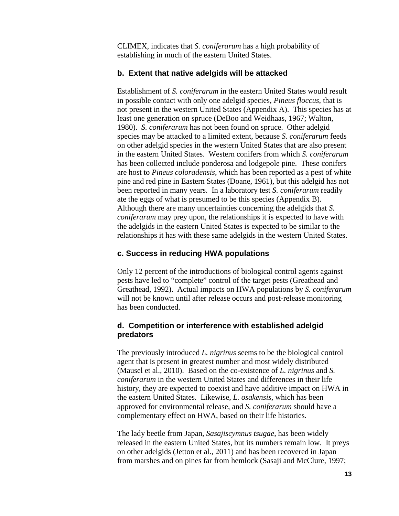CLIMEX, indicates that *S. coniferarum* has a high probability of establishing in much of the eastern United States.

### **b. Extent that native adelgids will be attacked**

Establishment of *S. coniferarum* in the eastern United States would result in possible contact with only one adelgid species, *Pineus floccus*, that is not present in the western United States (Appendix A). This species has at least one generation on spruce (DeBoo and Weidhaas, 1967; Walton, 1980). *S. coniferarum* has not been found on spruce. Other adelgid species may be attacked to a limited extent, because *S. coniferarum* feeds on other adelgid species in the western United States that are also present in the eastern United States. Western conifers from which *S. coniferarum* has been collected include ponderosa and lodgepole pine. These conifers are host to *Pineus coloradensis*, which has been reported as a pest of white pine and red pine in Eastern States (Doane, 1961), but this adelgid has not been reported in many years. In a laboratory test *S. coniferarum* readily ate the eggs of what is presumed to be this species (Appendix B). Although there are many uncertainties concerning the adelgids that *S. coniferarum* may prey upon, the relationships it is expected to have with the adelgids in the eastern United States is expected to be similar to the relationships it has with these same adelgids in the western United States.

### **c. Success in reducing HWA populations**

Only 12 percent of the introductions of biological control agents against pests have led to "complete" control of the target pests (Greathead and Greathead, 1992). Actual impacts on HWA populations by *S. coniferarum*  will not be known until after release occurs and post-release monitoring has been conducted.

### **d. Competition or interference with established adelgid predators**

The previously introduced *L. nigrinus* seems to be the biological control agent that is present in greatest number and most widely distributed (Mausel et al., 2010). Based on the co-existence of *L. nigrinus* and *S. coniferarum* in the western United States and differences in their life history, they are expected to coexist and have additive impact on HWA in the eastern United States. Likewise, *L. osakensis*, which has been approved for environmental release, and *S. coniferarum* should have a complementary effect on HWA, based on their life histories.

The lady beetle from Japan, *Sasajiscymnus tsugae*, has been widely released in the eastern United States, but its numbers remain low. It preys on other adelgids (Jetton et al., 2011) and has been recovered in Japan from marshes and on pines far from hemlock (Sasaji and McClure, 1997;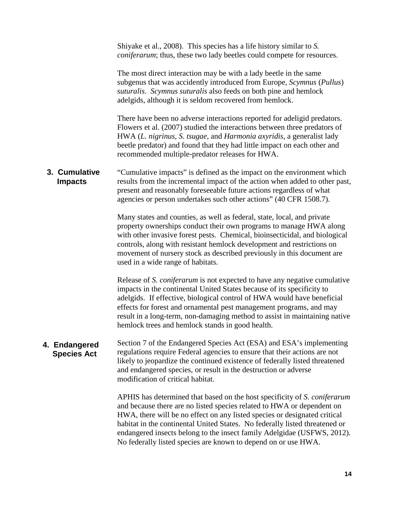Shiyake et al., 2008). This species has a life history similar to *S. coniferarum*; thus, these two lady beetles could compete for resources.

The most direct interaction may be with a lady beetle in the same subgenus that was accidently introduced from Europe, *Scymnus* (*Pullus*) *suturalis*. *Scymnus suturalis* also feeds on both pine and hemlock adelgids, although it is seldom recovered from hemlock.

There have been no adverse interactions reported for adeligid predators. Flowers et al. (2007) studied the interactions between three predators of HWA (*L. nigrinus, S. tsugae,* and *Harmonia axyridis*, a generalist lady beetle predator) and found that they had little impact on each other and recommended multiple-predator releases for HWA.

#### "Cumulative impacts" is defined as the impact on the environment which results from the incremental impact of the action when added to other past, present and reasonably foreseeable future actions regardless of what agencies or person undertakes such other actions" (40 CFR 1508.7).  **Cumulative 3. Cumulative Impacts Impacts**

Many states and counties, as well as federal, state, local, and private property ownerships conduct their own programs to manage HWA along with other invasive forest pests. Chemical, bioinsecticidal, and biological controls, along with resistant hemlock development and restrictions on movement of nursery stock as described previously in this document are used in a wide range of habitats.

Release of *S. coniferarum* is not expected to have any negative cumulative impacts in the continental United States because of its specificity to adelgids. If effective, biological control of HWA would have beneficial effects for forest and ornamental pest management programs, and may result in a long-term, non-damaging method to assist in maintaining native hemlock trees and hemlock stands in good health.

#### Section 7 of the Endangered Species Act (ESA) and ESA's implementing regulations require Federal agencies to ensure that their actions are not likely to jeopardize the continued existence of federally listed threatened and endangered species, or result in the destruction or adverse modification of critical habitat. **4. Endangered Species Act**

APHIS has determined that based on the host specificity of *S. coniferarum*  and because there are no listed species related to HWA or dependent on HWA, there will be no effect on any listed species or designated critical habitat in the continental United States. No federally listed threatened or endangered insects belong to the insect family Adelgidae (USFWS, 2012). No federally listed species are known to depend on or use HWA.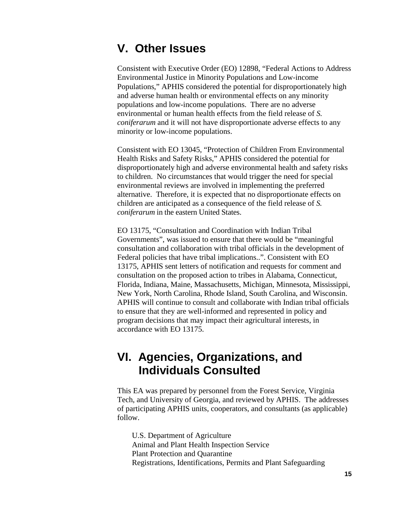## **V. Other Issues**

Consistent with Executive Order (EO) 12898, "Federal Actions to Address Environmental Justice in Minority Populations and Low-income Populations," APHIS considered the potential for disproportionately high and adverse human health or environmental effects on any minority populations and low-income populations. There are no adverse environmental or human health effects from the field release of *S. coniferarum* and it will not have disproportionate adverse effects to any minority or low-income populations.

Consistent with EO 13045, "Protection of Children From Environmental Health Risks and Safety Risks," APHIS considered the potential for disproportionately high and adverse environmental health and safety risks to children. No circumstances that would trigger the need for special environmental reviews are involved in implementing the preferred alternative. Therefore, it is expected that no disproportionate effects on children are anticipated as a consequence of the field release of *S. coniferarum* in the eastern United States.

EO 13175, "Consultation and Coordination with Indian Tribal Governments", was issued to ensure that there would be "meaningful consultation and collaboration with tribal officials in the development of Federal policies that have tribal implications..". Consistent with EO 13175, APHIS sent letters of notification and requests for comment and consultation on the proposed action to tribes in Alabama, Connecticut, Florida, Indiana, Maine, Massachusetts, Michigan, Minnesota, Mississippi, New York, North Carolina, Rhode Island, South Carolina, and Wisconsin. APHIS will continue to consult and collaborate with Indian tribal officials to ensure that they are well-informed and represented in policy and program decisions that may impact their agricultural interests, in accordance with EO 13175.

# **VI. Agencies, Organizations, and Individuals Consulted**

This EA was prepared by personnel from the Forest Service, Virginia Tech, and University of Georgia, and reviewed by APHIS. The addresses of participating APHIS units, cooperators, and consultants (as applicable) follow.

U.S. Department of Agriculture Animal and Plant Health Inspection Service Plant Protection and Quarantine Registrations, Identifications, Permits and Plant Safeguarding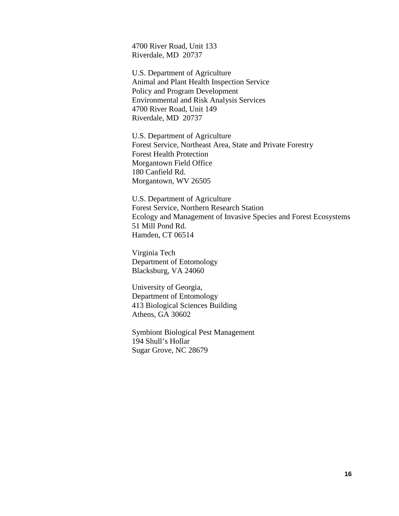4700 River Road, Unit 133 Riverdale, MD 20737

U.S. Department of Agriculture Animal and Plant Health Inspection Service Policy and Program Development Environmental and Risk Analysis Services 4700 River Road, Unit 149 Riverdale, MD 20737

U.S. Department of Agriculture Forest Service, Northeast Area, State and Private Forestry Forest Health Protection Morgantown Field Office 180 Canfield Rd. Morgantown, WV 26505

U.S. Department of Agriculture Forest Service, Northern Research Station Ecology and Management of Invasive Species and Forest Ecosystems 51 Mill Pond Rd. Hamden, CT 06514

Virginia Tech Department of Entomology Blacksburg, VA 24060

University of Georgia, Department of Entomology 413 Biological Sciences Building Athens, GA 30602

Symbiont Biological Pest Management 194 Shull's Hollar Sugar Grove, NC 28679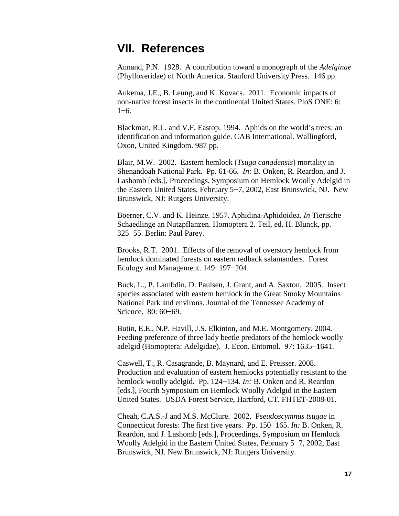## **VII. References**

Annand, P.N. 1928. A contribution toward a monograph of the *Adelginae* (Phylloxeridae) of North America. Stanford University Press. 146 pp.

Aukema, J.E., B. Leung, and K. Kovacs. 2011. Economic impacts of non-native forest insects in the continental United States. PloS ONE: 6: 1−6.

Blackman, R.L. and V.F. Eastop. 1994. Aphids on the world's trees: an identification and information guide. CAB International. Wallingford, Oxon, United Kingdom. 987 pp.

Blair, M.W. 2002. Eastern hemlock (*Tsuga canadensis*) mortality in Shenandoah National Park. Pp. 61-66. *In:* B. Onken, R. Reardon, and J. Lashomb [eds.], Proceedings, Symposium on Hemlock Woolly Adelgid in the Eastern United States, February 5−7, 2002, East Brunswick, NJ. New Brunswick, NJ: Rutgers University.

Boerner, C.V. and K. Heinze. 1957. Aphidina-Aphidoidea. *In* Tierische Schaedlinge an Nutzpflanzen. Homoptera 2. Teil, ed. H. Blunck, pp. 325−55. Berlin: Paul Parey.

Brooks, R.T. 2001. Effects of the removal of overstory hemlock from hemlock dominated forests on eastern redback salamanders. Forest Ecology and Management. 149: 197−204.

Buck, L., P. Lambdin, D. Paulsen, J. Grant, and A. Saxton. 2005. Insect species associated with eastern hemlock in the Great Smoky Mountains National Park and environs. Journal of the Tennessee Academy of Science. 80: 60−69.

Butin, E.E., N.P. Havill, J.S. Elkinton, and M.E. Montgomery. 2004. Feeding preference of three lady beetle predators of the hemlock woolly adelgid (Homoptera: Adelgidae). J. Econ. Entomol. 97: 1635−1641.

Caswell, T., R. Casagrande, B. Maynard, and E. Preisser. 2008. Production and evaluation of eastern hemlocks potentially resistant to the hemlock woolly adelgid. Pp. 124−134. *In:* B. Onken and R. Reardon [eds.], Fourth Symposium on Hemlock Woolly Adelgid in the Eastern United States. USDA Forest Service, Hartford, CT. FHTET-2008-01.

Cheah, C.A.S.-J and M.S. McClure. 2002. P*seudoscymnus tsugae* in Connecticut forests: The first five years. Pp. 150−165. *In:* B. Onken, R. Reardon, and J. Lashomb [eds.], Proceedings, Symposium on Hemlock Woolly Adelgid in the Eastern United States, February 5−7, 2002, East Brunswick, NJ. New Brunswick, NJ: Rutgers University.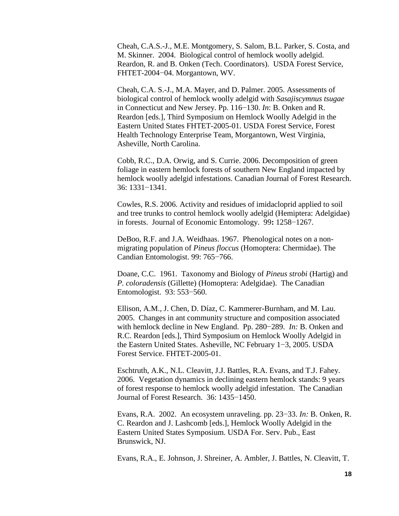Cheah, C.A.S.-J., M.E. Montgomery, S. Salom, B.L. Parker, S. Costa, and M. Skinner. 2004. Biological control of hemlock woolly adelgid. Reardon, R. and B. Onken (Tech. Coordinators). USDA Forest Service, FHTET-2004−04. Morgantown, WV.

Cheah, C.A. S.-J., M.A. Mayer, and D. Palmer. 2005. Assessments of biological control of hemlock woolly adelgid with *Sasajiscymnus tsugae* in Connecticut and New Jersey. Pp. 116−130. *In*: B. Onken and R. Reardon [eds.], Third Symposium on Hemlock Woolly Adelgid in the Eastern United States FHTET-2005-01. USDA Forest Service, Forest Health Technology Enterprise Team, Morgantown, West Virginia, Asheville, North Carolina.

Cobb, R.C., D.A. Orwig, and S. Currie. 2006. Decomposition of green foliage in eastern hemlock forests of southern New England impacted by hemlock woolly adelgid infestations. Canadian Journal of Forest Research. 36: 1331−1341.

Cowles, R.S. 2006. Activity and residues of imidacloprid applied to soil and tree trunks to control hemlock woolly adelgid (Hemiptera: Adelgidae) in forests. Journal of Economic Entomology. 99**:** 1258−1267.

DeBoo, R.F. and J.A. Weidhaas. 1967. Phenological notes on a nonmigrating population of *Pineus floccus* (Homoptera: Chermidae). The Candian Entomologist. 99: 765−766.

Doane, C.C. 1961. Taxonomy and Biology of *Pineus strobi* (Hartig) and *P. coloradensis* (Gillette) (Homoptera: Adelgidae). The Canadian Entomologist. 93: 553−560.

Ellison, A.M., J. Chen, D. Díaz, C. Kammerer-Burnham, and M. Lau. 2005. Changes in ant community structure and composition associated with hemlock decline in New England. Pp. 280−289. *In:* B. Onken and R.C. Reardon [eds.], Third Symposium on Hemlock Woolly Adelgid in the Eastern United States. Asheville, NC February 1−3, 2005. USDA Forest Service. FHTET-2005-01.

Eschtruth, A.K., N.L. Cleavitt, J.J. Battles, R.A. Evans, and T.J. Fahey. 2006. Vegetation dynamics in declining eastern hemlock stands: 9 years of forest response to hemlock woolly adelgid infestation. The Canadian Journal of Forest Research. 36: 1435−1450.

Evans, R.A. 2002. An ecosystem unraveling. pp. 23−33. *In:* B. Onken, R. C. Reardon and J. Lashcomb [eds.], Hemlock Woolly Adelgid in the Eastern United States Symposium. USDA For. Serv. Pub., East Brunswick, NJ.

Evans, R.A., E. Johnson, J. Shreiner, A. Ambler, J. Battles, N. Cleavitt, T.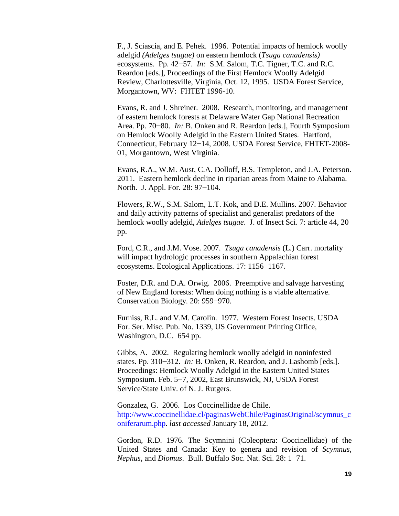F., J. Sciascia, and E. Pehek. 1996. Potential impacts of hemlock woolly adelgid *(Adelges tsugae)* on eastern hemlock (*Tsuga canadensis)*  ecosystems. Pp. 42−57. *In:* S.M. Salom, T.C. Tigner, T.C. and R.C. Reardon [eds.], Proceedings of the First Hemlock Woolly Adelgid Review, Charlottesville, Virginia, Oct. 12, 1995. USDA Forest Service, Morgantown, WV: FHTET 1996-10.

Evans, R. and J. Shreiner. 2008. Research, monitoring, and management of eastern hemlock forests at Delaware Water Gap National Recreation Area. Pp. 70−80. *In:* B. Onken and R. Reardon [eds.], Fourth Symposium on Hemlock Woolly Adelgid in the Eastern United States. Hartford, Connecticut, February 12−14, 2008. USDA Forest Service, FHTET-2008- 01, Morgantown, West Virginia.

Evans, R.A., W.M. Aust, C.A. Dolloff, B.S. Templeton, and J.A. Peterson. 2011. Eastern hemlock decline in riparian areas from Maine to Alabama. North. J. Appl. For. 28: 97−104.

Flowers, R.W., S.M. Salom, L.T. Kok, and D.E. Mullins. 2007. Behavior and daily activity patterns of specialist and generalist predators of the hemlock woolly adelgid, *Adelges tsugae*. J. of Insect Sci. 7: article 44, 20 pp.

Ford, C.R., and J.M. Vose. 2007. *Tsuga canadensis* (L.) Carr. mortality will impact hydrologic processes in southern Appalachian forest ecosystems. Ecological Applications. 17: 1156−1167.

Foster, D.R. and D.A. Orwig. 2006. Preemptive and salvage harvesting of New England forests: When doing nothing is a viable alternative. Conservation Biology. 20: 959−970.

Furniss, R.L. and V.M. Carolin. 1977. Western Forest Insects. USDA For. Ser. Misc. Pub. No. 1339, US Government Printing Office, Washington, D.C. 654 pp.

Gibbs, A. 2002. Regulating hemlock woolly adelgid in noninfested states. Pp. 310−312. *In:* B. Onken, R. Reardon, and J. Lashomb [eds.]. Proceedings: Hemlock Woolly Adelgid in the Eastern United States Symposium. Feb. 5−7, 2002, East Brunswick, NJ, USDA Forest Service/State Univ. of N. J. Rutgers.

Gonzalez, G. 2006. Los Coccinellidae de Chile. [http://www.coccinellidae.cl/paginasWebChile/PaginasOriginal/scymnus\\_c](http://www.coccinellidae.cl/paginasWebChile/PaginasOriginal/scymnus_coniferarum.php) [oniferarum.php.](http://www.coccinellidae.cl/paginasWebChile/PaginasOriginal/scymnus_coniferarum.php) *last accessed* January 18, 2012.

Gordon, R.D. 1976. The Scymnini (Coleoptera: Coccinellidae) of the United States and Canada: Key to genera and revision of *Scymnus*, *Nephus*, and *Diomus*. Bull. Buffalo Soc. Nat. Sci. 28: 1−71.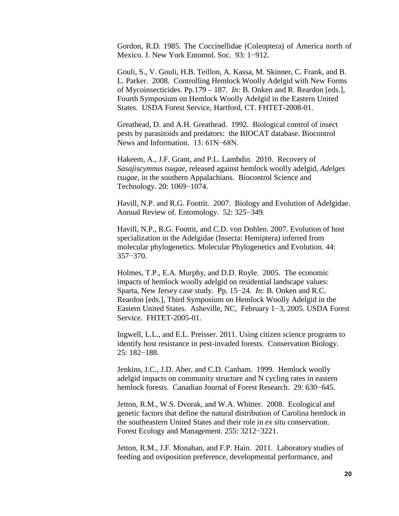Gordon, R.D. 1985. The Coccinellidae (Coleoptera) of America north of Mexico. J. New York Entomol. Soc. 93: 1−912.

Gouli, S., V. Gouli, H.B. Teillon, A. Kassa, M. Skinner, C. Frank, and B. L. Parker. 2008. Controlling Hemlock Woolly Adelgid with New Forms of Mycoinsecticides. Pp.179 – 187. *In:* B. Onken and R. Reardon [eds.], Fourth Symposium on Hemlock Woolly Adelgid in the Eastern United States. USDA Forest Service, Hartford, CT. FHTET-2008-01.

Greathead, D. and A.H. Greathead. 1992. Biological control of insect pests by parasitoids and predators: the BIOCAT database. Biocontrol News and Information. 13: 61N−68N.

Hakeem, A., J.F. Grant, and P.L. Lambdin. 2010. Recovery of *Sasajiscymnus tsugae*, released against hemlock woolly adelgid, *Adelges tsugae,* in the southern Appalachians. Biocontrol Science and Technology. 20: 1069−1074.

Havill, N.P. and R.G. Foottit. 2007. Biology and Evolution of Adelgidae. Annual Review of. Entomology. 52: 325−349.

Havill, N.P., R.G. Foottit, and C.D. von Dohlen. 2007*.* Evolution of host specialization in the Adelgidae (Insecta: Hemiptera) inferred from molecular phylogenetics. Molecular Phylogenetics and Evolution. 44: 357−370.

Holmes, T.P., E.A. Murphy, and D.D. Royle. 2005. The economic impacts of hemlock woolly adelgid on residential landscape values: Sparta, New Jersey case study. Pp. 15−24. *In:* B. Onken and R.C. Reardon [eds.], Third Symposium on Hemlock Woolly Adelgid in the Eastern United States. Asheville, NC, February 1−3, 2005. USDA Forest Service. FHTET-2005-01.

Ingwell, L.L., and E.L. Preisser. 2011. Using citizen science programs to identify host resistance in pest-invaded forests. Conservation Biology. 25: 182−188.

Jenkins, J.C., J.D. Aber, and C.D. Canham. 1999. Hemlock woolly adelgid impacts on community structure and N cycling rates in eastern hemlock forests. Canadian Journal of Forest Research. 29: 630−645.

Jetton, R.M., W.S. Dvorak, and W.A. Whitter. 2008. Ecological and genetic factors that define the natural distribution of Carolina hemlock in the southeastern United States and their role in *ex situ* conservation. Forest Ecology and Management. 255: 3212−3221.

Jetton, R.M., J.F. Monahan, and F.P. Hain. 2011. Laboratory studies of feeding and oviposition preference, developmental performance, and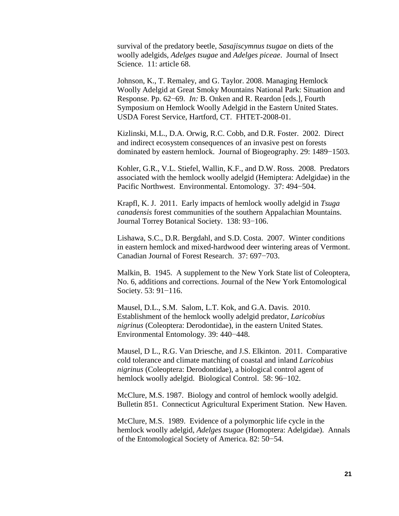survival of the predatory beetle, *Sasajiscymnus tsugae* on diets of the woolly adelgids, *Adelges tsugae* and *Adelges piceae*. Journal of Insect Science. 11: article 68.

Johnson, K., T. Remaley, and G. Taylor. 2008. Managing Hemlock Woolly Adelgid at Great Smoky Mountains National Park: Situation and Response. Pp. 62−69. *In:* B. Onken and R. Reardon [eds.], Fourth Symposium on Hemlock Woolly Adelgid in the Eastern United States. USDA Forest Service, Hartford, CT. FHTET-2008-01.

Kizlinski, M.L., D.A. Orwig, R.C. Cobb, and D.R. Foster. 2002. Direct and indirect ecosystem consequences of an invasive pest on forests dominated by eastern hemlock. Journal of Biogeography. 29: 1489−1503.

Kohler, G.R., V.L. Stiefel, Wallin, K.F., and D.W. Ross. 2008. Predators associated with the hemlock woolly adelgid (Hemiptera: Adelgidae) in the Pacific Northwest. Environmental. Entomology. 37: 494−504.

Krapfl, K. J. 2011. Early impacts of hemlock woolly adelgid in *Tsuga canadensis* forest communities of the southern Appalachian Mountains. Journal Torrey Botanical Society. 138: 93−106.

Lishawa, S.C., D.R. Bergdahl, and S.D. Costa. 2007. Winter conditions in eastern hemlock and mixed-hardwood deer wintering areas of Vermont. Canadian Journal of Forest Research. 37: 697−703.

Malkin, B. 1945. A supplement to the New York State list of Coleoptera, No. 6, additions and corrections. Journal of the New York Entomological Society. 53: 91−116.

Mausel, D.L., S.M. Salom, L.T. Kok, and G.A. Davis. 2010. Establishment of the hemlock woolly adelgid predator, *Laricobius nigrinus* (Coleoptera: Derodontidae), in the eastern United States. Environmental Entomology. 39: 440−448.

Mausel, D L., R.G. Van Driesche, and J.S. Elkinton. 2011. Comparative cold tolerance and climate matching of coastal and inland *Laricobius nigrinus* (Coleoptera: Derodontidae), a biological control agent of hemlock woolly adelgid. Biological Control. 58: 96−102.

McClure, M.S. 1987. Biology and control of hemlock woolly adelgid. Bulletin 851. Connecticut Agricultural Experiment Station. New Haven.

McClure, M.S. 1989. Evidence of a polymorphic life cycle in the hemlock woolly adelgid, *Adelges tsugae* (Homoptera: Adelgidae). Annals of the Entomological Society of America. 82: 50−54.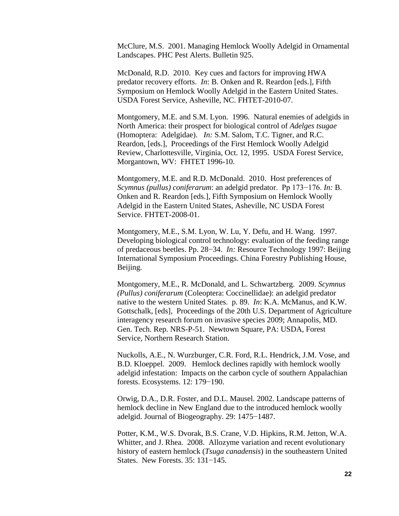McClure, M.S. 2001. Managing Hemlock Woolly Adelgid in Ornamental Landscapes. PHC Pest Alerts. Bulletin 925.

McDonald, R.D. 2010. Key cues and factors for improving HWA predator recovery efforts. *In*: B. Onken and R. Reardon [eds.], Fifth Symposium on Hemlock Woolly Adelgid in the Eastern United States. USDA Forest Service, Asheville, NC. FHTET-2010-07.

Montgomery, M.E. and S.M. Lyon. 1996. Natural enemies of adelgids in North America: their prospect for biological control of *Adelges tsugae*  (Homoptera: Adelgidae). *In:* S.M. Salom, T.C. Tigner, and R.C. Reardon, [eds.], Proceedings of the First Hemlock Woolly Adelgid Review, Charlottesville, Virginia, Oct. 12, 1995. USDA Forest Service, Morgantown, WV: FHTET 1996-10.

Montgomery, M.E. and R.D. McDonald. 2010. Host preferences of *Scymnus (pullus) coniferarum*: an adelgid predator. Pp 173−176. *In:* B. Onken and R. Reardon [eds.], Fifth Symposium on Hemlock Woolly Adelgid in the Eastern United States, Asheville, NC USDA Forest Service. FHTET-2008-01.

Montgomery, M.E., S.M. Lyon, W. Lu, Y. Defu, and H. Wang. 1997. Developing biological control technology: evaluation of the feeding range of predaceous beetles. Pp. 28−34. *In:* Resource Technology 1997: Beijing International Symposium Proceedings. China Forestry Publishing House, Beijing.

Montgomery, M.E., R. McDonald, and L. Schwartzberg. 2009. *Scymnus (Pullus) coniferarum* (Coleoptera: Coccinellidae): an adelgid predator native to the western United States. p. 89. *In*: K.A. McManus, and K.W. Gottschalk, [eds], Proceedings of the 20th U.S. Department of Agriculture interagency research forum on invasive species 2009; Annapolis, MD. Gen. Tech. Rep. NRS-P-51. Newtown Square, PA: USDA, Forest Service, Northern Research Station.

Nuckolls, A.E., N. Wurzburger, C.R. Ford, R.L. Hendrick, J.M. Vose, and B.D. Kloeppel. 2009. Hemlock declines rapidly with hemlock woolly adelgid infestation: Impacts on the carbon cycle of southern Appalachian forests. Ecosystems. 12: 179−190.

Orwig, D.A., D.R. Foster, and D.L. Mausel. 2002. Landscape patterns of hemlock decline in New England due to the introduced hemlock woolly adelgid. Journal of Biogeography. 29: 1475−1487.

Potter, K.M., W.S. Dvorak, B.S. Crane, V.D. Hipkins, R.M. Jetton, W.A. Whitter, and J. Rhea. 2008. Allozyme variation and recent evolutionary history of eastern hemlock (*Tsuga canadensis*) in the southeastern United States. New Forests. 35: 131−145.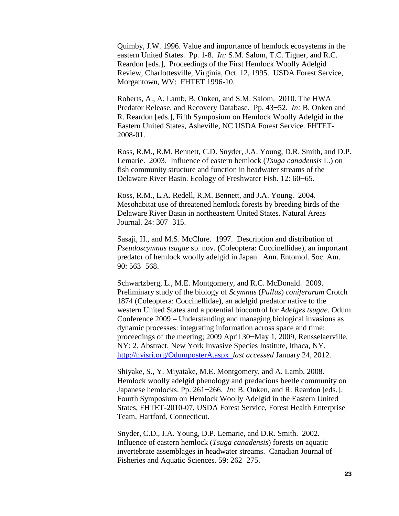Quimby, J.W. 1996. Value and importance of hemlock ecosystems in the eastern United States. Pp. 1-8. *In:* S.M. Salom, T.C. Tigner, and R.C. Reardon [eds.], Proceedings of the First Hemlock Woolly Adelgid Review, Charlottesville, Virginia, Oct. 12, 1995. USDA Forest Service, Morgantown, WV: FHTET 1996-10.

Roberts, A., A. Lamb, B. Onken, and S.M. Salom. 2010. The HWA Predator Release, and Recovery Database. Pp. 43−52. *In:* B. Onken and R. Reardon [eds.], Fifth Symposium on Hemlock Woolly Adelgid in the Eastern United States, Asheville, NC USDA Forest Service. FHTET-2008-01.

Ross, R.M., R.M. Bennett, C.D. Snyder, J.A. Young, D.R. Smith, and D.P. Lemarie. 2003. Influence of eastern hemlock (*Tsuga canadensis* L.) on fish community structure and function in headwater streams of the Delaware River Basin. Ecology of Freshwater Fish. 12: 60−65.

Ross, R.M., L.A. Redell, R.M. Bennett, and J.A. Young. 2004. Mesohabitat use of threatened hemlock forests by breeding birds of the Delaware River Basin in northeastern United States. Natural Areas Journal. 24: 307−315.

Sasaji, H., and M.S. McClure. 1997. Description and distribution of *Pseudoscymnus tsugae* sp. nov. (Coleoptera: Coccinellidae), an important predator of hemlock woolly adelgid in Japan. Ann. Entomol. Soc. Am. 90: 563−568.

Schwartzberg, L., M.E. Montgomery, and R.C. McDonald. 2009. Preliminary study of the biology of *Scymnus* (*Pullus*) *coniferarum* Crotch 1874 (Coleoptera: Coccinellidae), an adelgid predator native to the western United States and a potential biocontrol for *Adelges tsugae*. Odum Conference 2009 – Understanding and managing biological invasions as dynamic processes: integrating information across space and time: proceedings of the meeting; 2009 April 30−May 1, 2009, Rensselaerville, NY: 2. Abstract. New York Invasive Species Institute, Ithaca, NY. <http://nyisri.org/OdumposterA.aspx>*last accessed* January 24, 2012.

Shiyake, S., Y. Miyatake, M.E. Montgomery, and A. Lamb. 2008. Hemlock woolly adelgid phenology and predacious beetle community on Japanese hemlocks. Pp. 261−266. *In:* B. Onken, and R. Reardon [eds.]. Fourth Symposium on Hemlock Woolly Adelgid in the Eastern United States, FHTET-2010-07, USDA Forest Service, Forest Health Enterprise Team, Hartford, Connecticut.

Snyder, C.D., J.A. Young, D.P. Lemarie, and D.R. Smith. 2002. Influence of eastern hemlock (*Tsuga canadensis*) forests on aquatic invertebrate assemblages in headwater streams. Canadian Journal of Fisheries and Aquatic Sciences. 59: 262−275.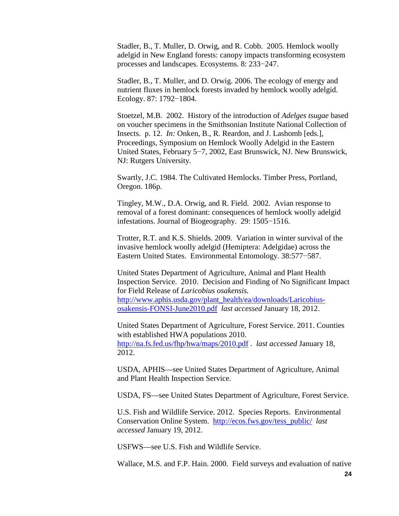Stadler, B., T. Muller, D. Orwig, and R. Cobb. 2005. Hemlock woolly adelgid in New England forests: canopy impacts transforming ecosystem processes and landscapes. Ecosystems. 8: 233−247.

Stadler, B., T. Muller, and D. Orwig. 2006. The ecology of energy and nutrient fluxes in hemlock forests invaded by hemlock woolly adelgid. Ecology. 87: 1792−1804.

Stoetzel, M.B. 2002. History of the introduction of *Adelges tsugae* based on voucher specimens in the Smithsonian Institute National Collection of Insects. p. 12. *In:* Onken, B., R. Reardon, and J. Lashomb [eds.], Proceedings, Symposium on Hemlock Woolly Adelgid in the Eastern United States, February 5−7, 2002, East Brunswick, NJ. New Brunswick, NJ: Rutgers University.

Swartly, J.C. 1984. The Cultivated Hemlocks. Timber Press, Portland, Oregon. 186p.

Tingley, M.W., D.A. Orwig, and R. Field. 2002. Avian response to removal of a forest dominant: consequences of hemlock woolly adelgid infestations. Journal of Biogeography. 29: 1505−1516.

Trotter, R.T. and K.S. Shields. 2009. Variation in winter survival of the invasive hemlock woolly adelgid (Hemiptera: Adelgidae) across the Eastern United States. Environmental Entomology. 38:577−587.

United States Department of Agriculture, Animal and Plant Health Inspection Service. 2010. Decision and Finding of No Significant Impact for Field Release of *Laricobius osakensis.*  [http://www.aphis.usda.gov/plant\\_health/ea/downloads/Laricobius](http://www.aphis.usda.gov/plant_health/ea/downloads/Laricobius-osakensis-FONSI-June2010.pdf)[osakensis-FONSI-June2010.pdf](http://www.aphis.usda.gov/plant_health/ea/downloads/Laricobius-osakensis-FONSI-June2010.pdf) *last accessed* January 18, 2012.

United States Department of Agriculture, Forest Service. 2011. Counties with established HWA populations 2010. <http://na.fs.fed.us/fhp/hwa/maps/2010.pdf> . *last accessed* January 18, 2012.

USDA, APHIS—see United States Department of Agriculture, Animal and Plant Health Inspection Service.

USDA, FS—see United States Department of Agriculture, Forest Service.

U.S. Fish and Wildlife Service. 2012. Species Reports. Environmental Conservation Online System. [http://ecos.fws.gov/tess\\_public/](http://ecos.fws.gov/tess_public/) *last accessed* January 19, 2012.

USFWS—see U.S. Fish and Wildlife Service.

Wallace, M.S. and F.P. Hain. 2000. Field surveys and evaluation of native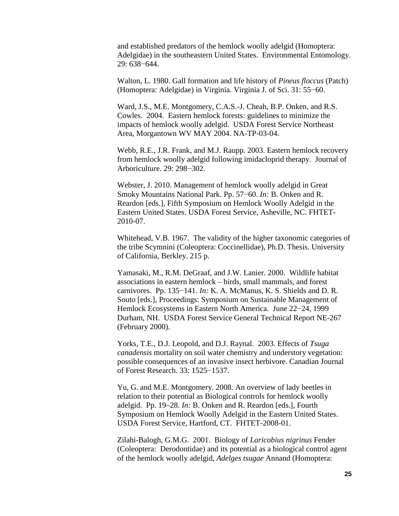and established predators of the hemlock woolly adelgid (Homoptera: Adelgidae) in the southeastern United States. Environmental Entomology. 29: 638−644.

Walton, L. 1980. Gall formation and life history of *Pineus floccus* (Patch) (Homoptera: Adelgidae) in Virginia. Virginia J. of Sci. 31: 55−60.

Ward, J.S., M.E. Montgomery, C.A.S.-J. Cheah, B.P. Onken, and R.S. Cowles. 2004. Eastern hemlock forests: guidelines to minimize the impacts of hemlock woolly adelgid. USDA Forest Service Northeast Area, Morgantown WV MAY 2004. NA-TP-03-04.

Webb, R.E., J.R. Frank, and M.J. Raupp. 2003. Eastern hemlock recovery from hemlock woolly adelgid following imidacloprid therapy. Journal of Arboriculture. 29: 298−302.

Webster, J. 2010. Management of hemlock woolly adelgid in Great Smoky Mountains National Park. Pp. 57−60. *In:* B. Onken and R. Reardon [eds.], Fifth Symposium on Hemlock Woolly Adelgid in the Eastern United States. USDA Forest Service, Asheville, NC. FHTET-2010-07.

Whitehead, V.B. 1967. The validity of the higher taxonomic categories of the tribe Scymnini (Coleoptera: Coccinellidae), Ph.D. Thesis. University of California, Berkley. 215 p.

Yamasaki, M., R.M. DeGraaf, and J.W. Lanier. 2000. Wildlife habitat associations in eastern hemlock – birds, small mammals, and forest carnivores. Pp. 135−141. *In:* K. A. McManus, K. S. Shields and D. R. Souto [eds.], Proceedings: Symposium on Sustainable Management of Hemlock Ecosystems in Eastern North America. June 22−24, 1999 Durham, NH. USDA Forest Service General Technical Report NE-267 (February 2000).

Yorks, T.E., D.J. Leopold, and D.J. Raynal. 2003. Effects of *Tsuga canadensis* mortality on soil water chemistry and understory vegetation: possible consequences of an invasive insect herbivore. Canadian Journal of Forest Research. 33: 1525−1537.

Yu, G. and M.E. Montgomery. 2008. An overview of lady beetles in relation to their potential as Biological controls for hemlock woolly adelgid. Pp. 19–28. *In:* B. Onken and R. Reardon [eds.], Fourth Symposium on Hemlock Woolly Adelgid in the Eastern United States. USDA Forest Service, Hartford, CT. FHTET-2008-01.

Zilahi-Balogh, G.M.G. 2001. Biology of *Laricobius nigrinus* Fender (Coleoptera: Derodontidae) and its potential as a biological control agent of the hemlock woolly adelgid, *Adelges tsugae* Annand (Homoptera: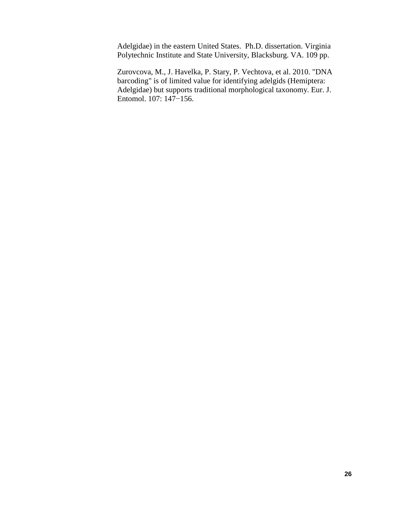Adelgidae) in the eastern United States. Ph.D. dissertation. Virginia Polytechnic Institute and State University, Blacksburg. VA. 109 pp.

Zurovcova, M., J. Havelka, P. Stary, P. Vechtova, et al. 2010. "DNA barcoding" is of limited value for identifying adelgids (Hemiptera: Adelgidae) but supports traditional morphological taxonomy. Eur. J. Entomol. 107: 147−156.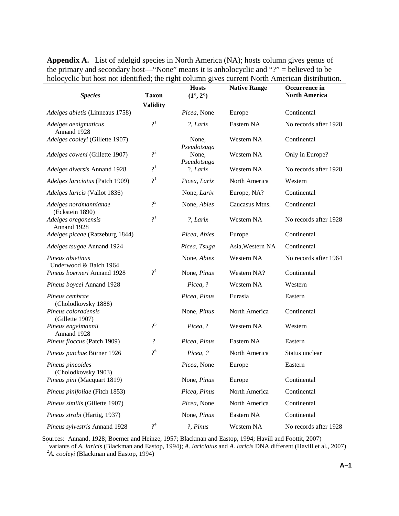| <b>Species</b>                             | <b>Taxon</b>       | <b>Hosts</b><br>$(1^{\circ}, 2^{\circ})$ | <b>Native Range</b> | Occurrence in<br><b>North America</b> |
|--------------------------------------------|--------------------|------------------------------------------|---------------------|---------------------------------------|
|                                            | <b>Validity</b>    |                                          |                     |                                       |
| Adelges abietis (Linneaus 1758)            |                    | Picea, None                              | Europe              | Continental                           |
| Adelges aenigmaticus<br>Annand 1928        | 2 <sup>1</sup>     | ?, Larix                                 | Eastern NA          | No records after 1928                 |
| Adelges cooleyi (Gillette 1907)            |                    | None,<br>Pseudotsuga                     | Western NA          | Continental                           |
| Adelges coweni (Gillette 1907)             | $2^2$              | None,<br>Pseudotsuga                     | Western NA          | Only in Europe?                       |
| Adelges diversis Annand 1928               | 2 <sup>1</sup>     | ?, Larix                                 | Western NA          | No records after 1928                 |
| Adelges lariciatus (Patch 1909)            | 2 <sup>1</sup>     | Picea, Larix                             | North America       | Western                               |
| Adelges laricis (Vallot 1836)              |                    | None, Larix                              | Europe, NA?         | Continental                           |
| Adelges nordmannianae<br>(Eckstein 1890)   | $2^3$              | None, Abies                              | Caucasus Mtns.      | Continental                           |
| Adelges oregonensis<br>Annand 1928         | $2^1$              | ?, Larix                                 | Western NA          | No records after 1928                 |
| Adelges piceae (Ratzeburg 1844)            |                    | Picea, Abies                             | Europe              | Continental                           |
| Adelges tsugae Annand 1924                 |                    | Picea, Tsuga                             | Asia, Western NA    | Continental                           |
| Pineus abietinus<br>Underwood & Balch 1964 |                    | None, Abies                              | Western NA          | No records after 1964                 |
| Pineus boerneri Annand 1928                | $2^4$              | None, Pinus                              | Western NA?         | Continental                           |
| Pineus boycei Annand 1928                  |                    | Picea, ?                                 | Western NA          | Western                               |
| Pineus cembrae<br>(Cholodkovsky 1888)      |                    | Picea, Pinus                             | Eurasia             | Eastern                               |
| Pineus coloradensis<br>(Gillette 1907)     |                    | None, Pinus                              | North America       | Continental                           |
| Pineus engelmannii<br>Annand 1928          | $2^5$              | Picea, ?                                 | Western NA          | Western                               |
| Pineus floccus (Patch 1909)                | $\overline{\cdot}$ | Picea, Pinus                             | Eastern NA          | Eastern                               |
| Pineus patchae Börner 1926                 | 2 <sup>6</sup>     | Picea, ?                                 | North America       | Status unclear                        |
| Pineus pineoides<br>(Cholodkovsky 1903)    |                    | Picea, None                              | Europe              | Eastern                               |
| Pineus pini (Macquart 1819)                |                    | None, Pinus                              | Europe              | Continental                           |
| Pineus pinifoliae (Fitch 1853)             |                    | Picea, Pinus                             | North America       | Continental                           |
| Pineus similis (Gillette 1907)             |                    | Picea, None                              | North America       | Continental                           |
| Pineus strobi (Hartig, 1937)               |                    | None, Pinus                              | Eastern NA          | Continental                           |
| Pineus sylvestris Annand 1928              | $2^4$              | ?, Pinus                                 | Western NA          | No records after 1928                 |

**Appendix A.** List of adelgid species in North America (NA); hosts column gives genus of the primary and secondary host—"None" means it is anholocyclic and "?" = believed to be holocyclic but host not identified; the right column gives current North American distribution.

Sources: Annand, 1928; Boerner and Heinze, 1957; Blackman and Eastop, 1994; Havill and Foottit, 2007)

variants of *A. laricis* (Blackman and Eastop, 1994); *A. lariciatus* and *A. laricis* DNA different (Havill et al., 2007) <sup>2</sup> <sup>2</sup>A. *cooleyi* (Blackman and Eastop, 1994)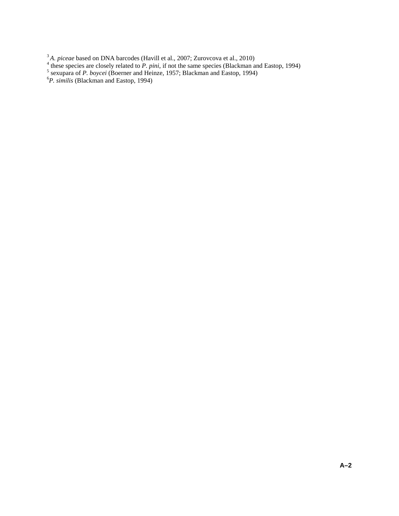- <sup>3</sup>A. *piceae* based on DNA barcodes (Havill et al., 2007; Zurovcova et al., 2010)<br><sup>4</sup> these species are closely related to *P. pini*, if not the same species (Blackman and Eastop, 1994)<br><sup>5</sup> sexupara of *P. boycei* (Boern
- 
-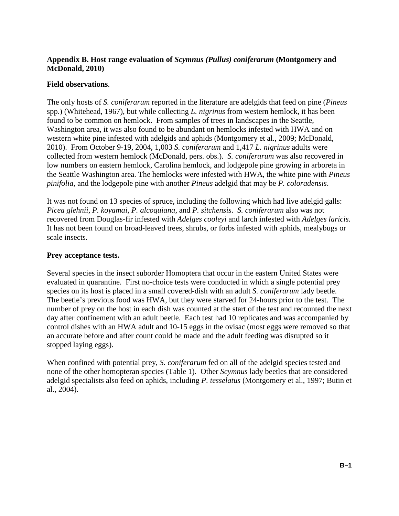### **Appendix B. Host range evaluation of** *Scymnus (Pullus) coniferarum* **(Montgomery and McDonald, 2010)**

### **Field observations**.

The only hosts of *S. coniferarum* reported in the literature are adelgids that feed on pine (*Pineus* spp.) (Whitehead, 1967), but while collecting *L. nigrinus* from western hemlock, it has been found to be common on hemlock. From samples of trees in landscapes in the Seattle, Washington area, it was also found to be abundant on hemlocks infested with HWA and on western white pine infested with adelgids and aphids (Montgomery et al., 2009; McDonald, 2010). From October 9-19, 2004, 1,003 *S. coniferarum* and 1,417 *L. nigrinus* adults were collected from western hemlock (McDonald, pers. obs.). *S. coniferarum* was also recovered in low numbers on eastern hemlock, Carolina hemlock, and lodgepole pine growing in arboreta in the Seattle Washington area. The hemlocks were infested with HWA, the white pine with *Pineus pinifolia,* and the lodgepole pine with another *Pineus* adelgid that may be *P. coloradensis*.

It was not found on 13 species of spruce, including the following which had live adelgid galls: *Picea glehnii*, *P. koyamai*, *P. alcoquiana*, and *P. sitchensis*. *S. coniferarum* also was not recovered from Douglas-fir infested with *Adelges cooleyi* and larch infested with *Adelges laricis*. It has not been found on broad-leaved trees, shrubs, or forbs infested with aphids, mealybugs or scale insects.

### **Prey acceptance tests.**

Several species in the insect suborder Homoptera that occur in the eastern United States were evaluated in quarantine. First no-choice tests were conducted in which a single potential prey species on its host is placed in a small covered-dish with an adult *S. coniferarum* lady beetle. The beetle's previous food was HWA, but they were starved for 24-hours prior to the test. The number of prey on the host in each dish was counted at the start of the test and recounted the next day after confinement with an adult beetle. Each test had 10 replicates and was accompanied by control dishes with an HWA adult and 10-15 eggs in the ovisac (most eggs were removed so that an accurate before and after count could be made and the adult feeding was disrupted so it stopped laying eggs).

When confined with potential prey, *S. coniferarum* fed on all of the adelgid species tested and none of the other homopteran species (Table 1). Other *Scymnus* lady beetles that are considered adelgid specialists also feed on aphids, including *P. tesselatus* (Montgomery et al., 1997; Butin et al., 2004).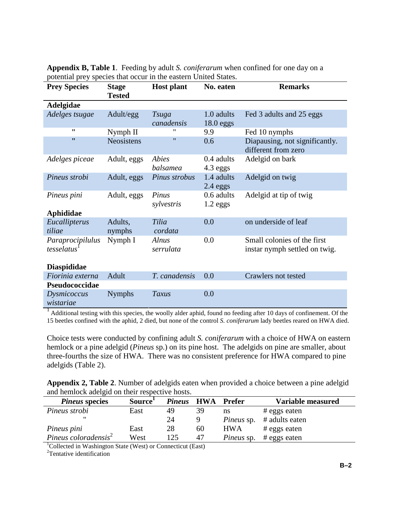| <b>Prey Species</b>                         | <b>Stage</b><br><b>Tested</b> | <b>Host plant</b>          | No. eaten                 | <b>Remarks</b>                                               |
|---------------------------------------------|-------------------------------|----------------------------|---------------------------|--------------------------------------------------------------|
| Adelgidae                                   |                               |                            |                           |                                                              |
| Adelges tsugae                              | Adult/egg                     | <b>Tsuga</b><br>canadensis | 1.0 adults<br>$18.0$ eggs | Fed 3 adults and 25 eggs                                     |
| 11                                          | Nymph II                      | 11                         | 9.9                       | Fed 10 nymphs                                                |
| $^{\prime}$                                 | <b>Neosistens</b>             | $^{\prime\prime}$          | 0.6                       | Diapausing, not significantly.<br>different from zero        |
| Adelges piceae                              | Adult, eggs                   | Abies<br>balsamea          | 0.4 adults<br>$4.3$ eggs  | Adelgid on bark                                              |
| Pineus strobi                               | Adult, eggs                   | Pinus strobus              | 1.4 adults<br>$2.4$ eggs  | Adelgid on twig                                              |
| Pineus pini                                 | Adult, eggs                   | Pinus<br>sylvestris        | 0.6 adults<br>$1.2$ eggs  | Adelgid at tip of twig                                       |
| <b>Aphididae</b>                            |                               |                            |                           |                                                              |
| Eucallipterus<br>tiliae                     | Adults,<br>nymphs             | Tilia<br>cordata           | 0.0                       | on underside of leaf                                         |
| Paraprocipilulus<br>tesselatus <sup>1</sup> | Nymph I                       | Alnus<br>serrulata         | 0.0                       | Small colonies of the first<br>instar nymph settled on twig. |
| <b>Diaspididae</b>                          |                               |                            |                           |                                                              |
| Fiorinia externa                            | Adult                         | T. canadensis              | 0.0                       | Crawlers not tested                                          |
| Pseudococcidae                              |                               |                            |                           |                                                              |
| Dysmicoccus<br>wistariae                    | <b>Nymphs</b>                 | Taxus                      | 0.0                       |                                                              |

**Appendix B, Table 1**. Feeding by adult *S. coniferarum* when confined for one day on a potential prey species that occur in the eastern United States.

 $1$  Additional testing with this species, the woolly alder aphid, found no feeding after 10 days of confinement. Of the 15 beetles confined with the aphid, 2 died, but none of the control *S. coniferarum* lady beetles reared on HWA died.

Choice tests were conducted by confining adult *S. coniferarum* with a choice of HWA on eastern hemlock or a pine adelgid (*Pineus* sp.) on its pine host. The adelgids on pine are smaller, about three-fourths the size of HWA. There was no consistent preference for HWA compared to pine adelgids (Table 2).

**Appendix 2, Table 2**. Number of adelgids eaten when provided a choice between a pine adelgid and hemlock adelgid on their respective hosts.

| <i>Pineus</i> species                                                   | Source <sup>1</sup> | <b>Pineus</b> | HWA | Prefer            | Variable measured |
|-------------------------------------------------------------------------|---------------------|---------------|-----|-------------------|-------------------|
| Pineus strobi                                                           | East                | 49            | 39  | ns                | # eggs eaten      |
| "                                                                       |                     | 24            |     | <i>Pineus</i> sp. | # adults eaten    |
| Pineus pini                                                             | East                | 28            | 60  | <b>HWA</b>        | # eggs eaten      |
| Pineus coloradensis $2$                                                 | West                | 125           | 47  | <i>Pineus</i> sp. | # eggs eaten      |
| <sup>1</sup> Collected in Washington State (West) or Connecticut (East) |                     |               |     |                   |                   |

<sup>2</sup>Tentative identification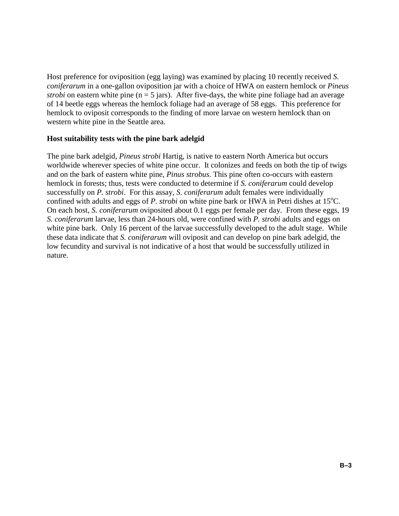Host preference for oviposition (egg laying) was examined by placing 10 recently received *S. coniferarum* in a one-gallon oviposition jar with a choice of HWA on eastern hemlock or *Pineus strobi* on eastern white pine ( $n = 5$  jars). After five-days, the white pine foliage had an average of 14 beetle eggs whereas the hemlock foliage had an average of 58 eggs. This preference for hemlock to oviposit corresponds to the finding of more larvae on western hemlock than on western white pine in the Seattle area.

#### **Host suitability tests with the pine bark adelgid**

The pine bark adelgid, *Pineus strobi* Hartig, is native to eastern North America but occurs worldwide wherever species of white pine occur. It colonizes and feeds on both the tip of twigs and on the bark of eastern white pine, *Pinus strobus*. This pine often co-occurs with eastern hemlock in forests; thus, tests were conducted to determine if *S. coniferarum* could develop successfully on *P. strobi*. For this assay, *S. coniferarum* adult females were individually confined with adults and eggs of *P. strobi* on white pine bark or HWA in Petri dishes at 15°C. On each host, *S. coniferarum* oviposited about 0.1 eggs per female per day. From these eggs, 19 *S. coniferarum* larvae, less than 24-hours old, were confined with *P. strobi* adults and eggs on white pine bark. Only 16 percent of the larvae successfully developed to the adult stage. While these data indicate that *S. coniferarum* will oviposit and can develop on pine bark adelgid, the low fecundity and survival is not indicative of a host that would be successfully utilized in nature.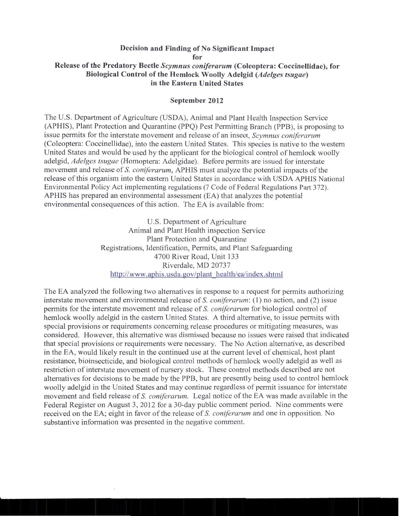#### Decision and Finding of No Significant Impact for Release of the Predatory Beetle Scymnus coniferarum (Coleoptera: Coccinellidae), for Biological Control of the Hemlock Woolly Adelgid (Adelges tsugae) in the Eastern United States

#### September 2012

The U.S. Department of Agriculture (USDA), Animal and Plant Health Inspection Service (APHIS), Plant Protection and Quarantine (PPQ) Pest Permitting Branch (PPB), is proposing to issue permits for the interstate movement and release of an insect, Scymnus coniferarum (Coleoptera: Coccinellidae), into the eastern United States. This species is native to the western United States and would be used by the applicant for the biological control of hemlock woolly adelgid, Adelges tsugae (Homoptera: Adelgidae). Before permits are issued for interstate movement and release of S. coniferarum, APHIS must analyze the potential impacts of the release of this organism into the eastern United States in accordance with USDA APHIS National Environmental Policy Act implementing regulations (7 Code of Federal Regulations Part 372). APHIS has prepared an environmental assessment (EA) that analyzes the potential environmental consequences of this action. The EA is available from:

> U.S. Department of Agriculture Animal and Plant Health inspection Service Plant Protection and Ouarantine Registrations, Identification, Permits, and Plant Safeguarding 4700 River Road, Unit 133 Riverdale, MD 20737 http://www.aphis.usda.gov/plant\_health/ea/index.shtml

The EA analyzed the following two alternatives in response to a request for permits authorizing interstate movement and environmental release of S. coniferarum: (1) no action, and (2) issue permits for the interstate movement and release of S. coniferarum for biological control of hemlock woolly adelgid in the eastern United States. A third alternative, to issue permits with special provisions or requirements concerning release procedures or mitigating measures, was considered. However, this alternative was dismissed because no issues were raised that indicated that special provisions or requirements were necessary. The No Action alternative, as described in the EA, would likely result in the continued use at the current level of chemical, host plant resistance, bioinsecticide, and biological control methods of hemlock woolly adelgid as well as restriction of interstate movement of nursery stock. These control methods described are not alternatives for decisions to be made by the PPB, but are presently being used to control hemolock woolly adelgid in the United States and may continue regardless of permit issuance for interstate movement and field release of S. coniferarum. Legal notice of the EA was made available in the Federal Register on August 3, 2012 for a 30-day public comment period. Nine comments were received on the EA; eight in favor of the release of S. *coniferarum* and one in opposition. No substantive information was presented in the negative comment.